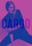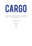# CARGO

If you have lived in Sydney for frankly any time at all, you should be familiar with King Street Wharf mainstay Cargo. With a funky metropolitan buzz and a palette of concrete, timber and pops of royal blue. Combined with its prime real estate overlooking Darling Harbour, Cargo is the perfect place to get your party started or keep it going!

> 52-60 The Promenade, Sydney NSW 2000 (02) 8322 2005

> > info@cargobar.com.au cargobar.com.au

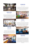

## DOWNSTAIRS EXCLUSIVE

Cocktail | Up to 850

Providing a great backdrop with spectacular views over Darling Harbour, Cargo downstairs can be exclusively yours for your next event. The large bar sits centrally with easy access from all points, and the spacious indoor and outdoor areas allow your guests to roam freely throughout the venue.



# **CAPTAIN'S LOUNGE**

Cocktail | Up to 50

The Captain's lounge is a semi-private space for intimate events suited perfectly for cocktail style functions which also offers a relaxed atmosphere with plenty of lounges and gives you a great over view of the venue as well as a quick access to the bar.



# BEER GARDEN SECTION

Cocktail | Up to 100

This flexible space can be roped off for your exclusive use depending on the size of your event. With views across the entire venue and King Street Wharf, your guests can enjoy a waterside experience within the lush greenery of this iconic space.



# COCKTAIL BAR

Cocktail | Up to 100

The cocktail bar is a great space that can be sectioned off for your event, give your guests the 'VIP' treatment. Guests can enjoy our iconic cocktail menu from our expert bartenders whilst relaxing on our comfortable high tops in an exclusive 'roped offer' atmosphere. Give your guests the cocktail experience.



# **UPSTAIRS EXCLUSIVE**

Cocktail | Up to 400

This flexible space provides iconic uninterrupted views across Darling Harbour, this space could be years for your next event! Get the best of both areas! The large cocktail bar lights up as the night progresses, think purples & blues to set the scene. This sizable bar can be easily accessible from all areas of the room. Enable your guests the ability to roam freely and rest on our comfy couches or high-tops insides or outside with the seaside views.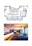

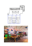

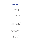# CANAPÉ PACKAGES

*A minimum order of 20 is required:*

7 Piece Package | \$35pp *Selection of 3 cold, 4 hot options*

9 Piece Package | \$45pp *Selection of 4 cold, 4 hot, 1 substantial*

11 Piece Package | \$55pp *Selection of 4 cold, 4 hot, 2 substantial, 1 dessert*

#### **COLD CANAPÉS**

Fresh shucked oyster, natural & pickled cucumber, dill and lemon (GF) Edamame dip, sesame, rice cracker (VE, GF) Bruschetta of bocconcini, cherry tomato salsa & basil (V) Baby Beetroot, orange and goat cheese tart (V) Frittata of zucchini, ricotta and mint (V) Tostada, salmon, avocado and mango salsa (GF) Smoked salmon, cream cheese, dill on sourdough Prosciutto, melon, basil and extra virgin olive oil (GF)

#### **HOT CANAPÉS**

Vegetarian spring rolls with sweet chilli sauce (V) Crispy tempura coconut prawn, tomato chilli jam Pumpkin & feta arancini ball, tomato jam (V, GF) Mac and cheese balls, spiced tomato relish (V) Sundried tomato, fetta and basil quiche (V) Beef and red wine mini pie Chicken, mushroom and leek pie Beef sausage roll, tomato sauce Chipotle and bean mini pie (VE)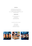#### **SUBSTANTIALS**

Beer battered fish and chips, tartare sauce Wagyu beef slider, American cheddar, tomato Jam Fried Chicken slider, slaw, chipotle mayo Spiced cauliflower taco, guacamole, coriander salsa and lime (VE) Mini Salmon Poke Bowl

#### **SOMETHING SWEET**

Donut fries with chocolate sauce Berry cheesecake Assorted bambino cones Raw caramel Slice (GF, DF, V)

*To add additional canapés to your package:*

Cold - \$ 5 per piece Hot - \$6 per piece Substantial - \$8 per piece Something Sweet - \$6 per piece

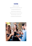

*All platters contain 30 pieces.*

Waygu beef slider, American cheddar, tomato jam | 190 Beef sausage roll with tomato sauce | 150 Fried chicken slider, slaws, chipotle mayo | 190 Pumpkin & fetta arancini balls, tomato jam (V, GF) | 150 Tandoori chicken skewers, cucumber rita | 150 Sun dried tomato, basil and fetta quiche (V) | 140

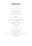# BEVERAGE PACKAGES

*For a minimum of 20pax.*

#### **STANDARD**

2 hours \$35pp | 3 hours \$45pp | 4 hours \$55pp

*Draught Beer —* Hahn Super Dry *Bottled Beer —* James Boag's Premium Light *Sparkling —* Edge of the World Sparkling *White Wine —* Edge of the World Sauvignon Blanc *Red Wine —* Edge of the World Shiraz Cabernet *Non-Alcoholic —* Soft drinks & juices

#### **PREMIUM**

2 hours \$45pp | 3 hours \$55pp | 4 hours \$65pp

*Draught Beer —* Hahn Super Dry*,* Furphy Refreshing Ale *Bottled Beer —* Peroni*,* Great Northern Mid & James Boag's Premium Light *Cider —* Orchard Crush Cider *Sparkling —* Tempus Two Prosecco *White Wine —* 821 South Sauvignon Blanc, The Primrose Path Chardonnay *Red Wine —* Drake Shiraz, Altacena Tempranillo *Rosé —* Edge of the World Rosé *Non-Alcoholic —* Soft drinks & juices

#### **DELUXE**

2 hours \$55pp | 3 hours \$65pp | 4 hours \$75pp

*Draught Beer —* All draught beer *Bottled Beer —* Peroni*,* Asahi, Corona & James Boag's Premium Light *Cider —* James Squire Orchard Crush Apple Cider *Sparkling —* Madame Coco Brut NV *White Wine —* 821 South Sauvignon Blanc*,* Tempus Two Pinot Gris & Road to Enlightenment Riesling *Red Wine —* Guilty by Association Pinot Noir*,* Drake Shiraz *Rosé —* St Huberts *'*The Stag*'* Rosé *Non-Alcoholic —* Soft drinks & juices

*.*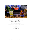

#### **ADD SPIRITS - \$10 PER PERSON**

Add a range of house spirits to any premium or deluxe beverage package. Available for a minimum number of 50pax.

### **ADD ARRIVAL COCKTAILS - \$10 PER COCKTAIL**

Treat your guests to a Seasonal Spritz, French Martini, Bellini or speak to your event coordinator for additional options.

## **ADD ONS TO ANY BEVERAGE PACKAGE**

Rose - \$5 per person Bottled Beer - \$5 per person

*All food and beverage menus are subject to seasonal change and availability. A maximum of 3 hour beverage package is available for hens and bucks groups.*